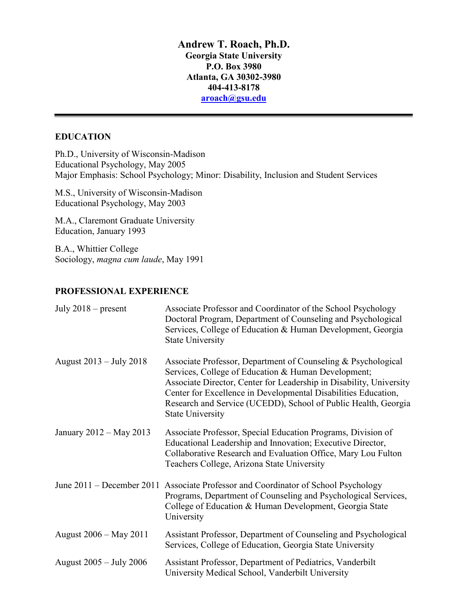**Andrew T. Roach, Ph.D. Georgia State University P.O. Box 3980 Atlanta, GA 30302-3980 404-413-8178 [aroach@gsu.edu](mailto:aroach@gsu.edu)** 

### **EDUCATION**

Ph.D., University of Wisconsin-Madison Educational Psychology, May 2005 Major Emphasis: School Psychology; Minor: Disability, Inclusion and Student Services

M.S., University of Wisconsin-Madison Educational Psychology, May 2003

M.A., Claremont Graduate University Education, January 1993

B.A., Whittier College Sociology, *magna cum laude*, May 1991

### **PROFESSIONAL EXPERIENCE**

| July $2018$ – present     | Associate Professor and Coordinator of the School Psychology<br>Doctoral Program, Department of Counseling and Psychological<br>Services, College of Education & Human Development, Georgia<br><b>State University</b>                                                                                                                                     |
|---------------------------|------------------------------------------------------------------------------------------------------------------------------------------------------------------------------------------------------------------------------------------------------------------------------------------------------------------------------------------------------------|
| August $2013 - July 2018$ | Associate Professor, Department of Counseling & Psychological<br>Services, College of Education & Human Development;<br>Associate Director, Center for Leadership in Disability, University<br>Center for Excellence in Developmental Disabilities Education,<br>Research and Service (UCEDD), School of Public Health, Georgia<br><b>State University</b> |
| January 2012 – May 2013   | Associate Professor, Special Education Programs, Division of<br>Educational Leadership and Innovation; Executive Director,<br>Collaborative Research and Evaluation Office, Mary Lou Fulton<br>Teachers College, Arizona State University                                                                                                                  |
|                           | June 2011 – December 2011 Associate Professor and Coordinator of School Psychology<br>Programs, Department of Counseling and Psychological Services,<br>College of Education & Human Development, Georgia State<br>University                                                                                                                              |
| August 2006 – May 2011    | Assistant Professor, Department of Counseling and Psychological<br>Services, College of Education, Georgia State University                                                                                                                                                                                                                                |
| August 2005 – July 2006   | Assistant Professor, Department of Pediatrics, Vanderbilt<br>University Medical School, Vanderbilt University                                                                                                                                                                                                                                              |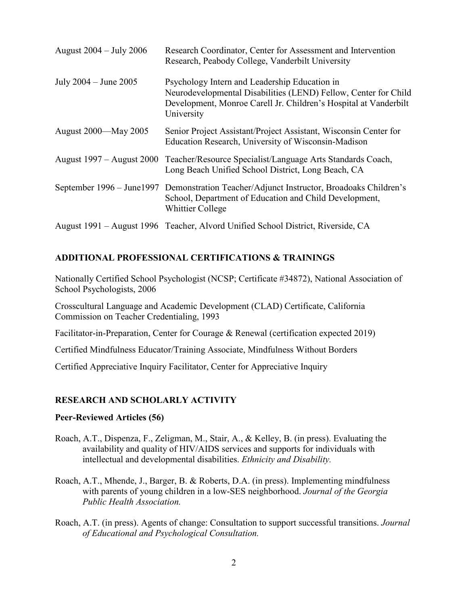| August 2004 – July 2006   | Research Coordinator, Center for Assessment and Intervention<br>Research, Peabody College, Vanderbilt University                                                                                   |
|---------------------------|----------------------------------------------------------------------------------------------------------------------------------------------------------------------------------------------------|
| July $2004 -$ June $2005$ | Psychology Intern and Leadership Education in<br>Neurodevelopmental Disabilities (LEND) Fellow, Center for Child<br>Development, Monroe Carell Jr. Children's Hospital at Vanderbilt<br>University |
| August 2000—May 2005      | Senior Project Assistant/Project Assistant, Wisconsin Center for<br>Education Research, University of Wisconsin-Madison                                                                            |
| August 1997 – August 2000 | Teacher/Resource Specialist/Language Arts Standards Coach,<br>Long Beach Unified School District, Long Beach, CA                                                                                   |
|                           | September 1996 – June1997 Demonstration Teacher/Adjunct Instructor, Broadoaks Children's<br>School, Department of Education and Child Development,<br><b>Whittier College</b>                      |
|                           | August 1991 – August 1996 Teacher, Alvord Unified School District, Riverside, CA                                                                                                                   |

### **ADDITIONAL PROFESSIONAL CERTIFICATIONS & TRAININGS**

Nationally Certified School Psychologist (NCSP; Certificate #34872), National Association of School Psychologists, 2006

Crosscultural Language and Academic Development (CLAD) Certificate, California Commission on Teacher Credentialing, 1993

Facilitator-in-Preparation, Center for Courage & Renewal (certification expected 2019)

Certified Mindfulness Educator/Training Associate, Mindfulness Without Borders

Certified Appreciative Inquiry Facilitator, Center for Appreciative Inquiry

# **RESEARCH AND SCHOLARLY ACTIVITY**

### **Peer-Reviewed Articles (56)**

- Roach, A.T., Dispenza, F., Zeligman, M., Stair, A., & Kelley, B. (in press). Evaluating the availability and quality of HIV/AIDS services and supports for individuals with intellectual and developmental disabilities. *Ethnicity and Disability.*
- Roach, A.T., Mhende, J., Barger, B. & Roberts, D.A. (in press). Implementing mindfulness with parents of young children in a low-SES neighborhood. *Journal of the Georgia Public Health Association.*
- Roach, A.T. (in press). Agents of change: Consultation to support successful transitions. *Journal of Educational and Psychological Consultation.*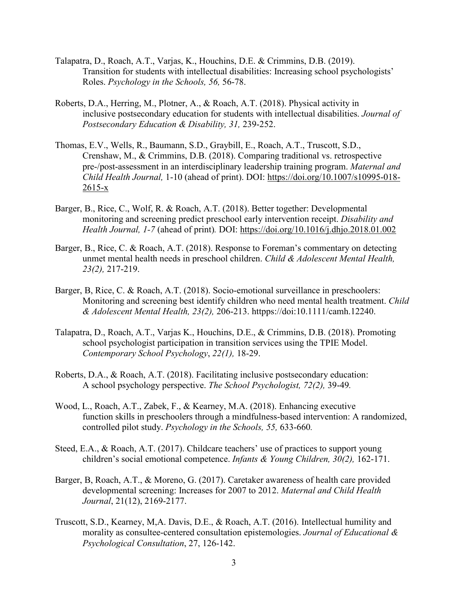- Talapatra, D., Roach, A.T., Varjas, K., Houchins, D.E. & Crimmins, D.B. (2019). Transition for students with intellectual disabilities: Increasing school psychologists' Roles. *Psychology in the Schools, 56,* 56-78.
- Roberts, D.A., Herring, M., Plotner, A., & Roach, A.T. (2018). Physical activity in inclusive postsecondary education for students with intellectual disabilities. *Journal of Postsecondary Education & Disability, 31,* 239-252.
- Thomas, E.V., Wells, R., Baumann, S.D., Graybill, E., Roach, A.T., Truscott, S.D., Crenshaw, M., & Crimmins, D.B. (2018). Comparing traditional vs. retrospective pre-/post-assessment in an interdisciplinary leadership training program. *Maternal and Child Health Journal,* 1-10 (ahead of print). DOI:<https://doi.org/10.1007/s10995-018-> 2615-x
- Barger, B., Rice, C., Wolf, R. & Roach, A.T. (2018). Better together: Developmental monitoring and screening predict preschool early intervention receipt. *Disability and Health Journal, 1-7* (ahead of print)*.* DOI: <https://doi.org/10.1016/j.dhjo.2018.01.002>
- Barger, B., Rice, C. & Roach, A.T. (2018). Response to Foreman's commentary on detecting unmet mental health needs in preschool children. *Child & Adolescent Mental Health, 23(2),* 217-219.
- Barger, B, Rice, C. & Roach, A.T. (2018). Socio-emotional surveillance in preschoolers: Monitoring and screening best identify children who need mental health treatment. *Child & Adolescent Mental Health, 23(2),* 206-213. httpps://doi:10.1111/camh.12240.
- Talapatra, D., Roach, A.T., Varjas K., Houchins, D.E., & Crimmins, D.B. (2018). Promoting school psychologist participation in transition services using the TPIE Model. *Contemporary School Psychology*, *22(1),* 18-29.
- Roberts, D.A., & Roach, A.T. (2018). Facilitating inclusive postsecondary education: A school psychology perspective. *The School Psychologist, 72(2),* 39-49*.*
- Wood, L., Roach, A.T., Zabek, F., & Kearney, M.A. (2018). Enhancing executive function skills in preschoolers through a mindfulness-based intervention: A randomized, controlled pilot study. *Psychology in the Schools, 55,* 633-660*.*
- Steed, E.A., & Roach, A.T. (2017). Childcare teachers' use of practices to support young children's social emotional competence. *Infants & Young Children, 30(2),* 162-171.
- Barger, B, Roach, A.T., & Moreno, G. (2017). Caretaker awareness of health care provided developmental screening: Increases for 2007 to 2012. *Maternal and Child Health Journal*, 21(12), 2169-2177.
- Truscott, S.D., Kearney, M,A. Davis, D.E., & Roach, A.T. (2016). Intellectual humility and morality as consultee-centered consultation epistemologies. *Journal of Educational & Psychological Consultation*, 27, 126-142.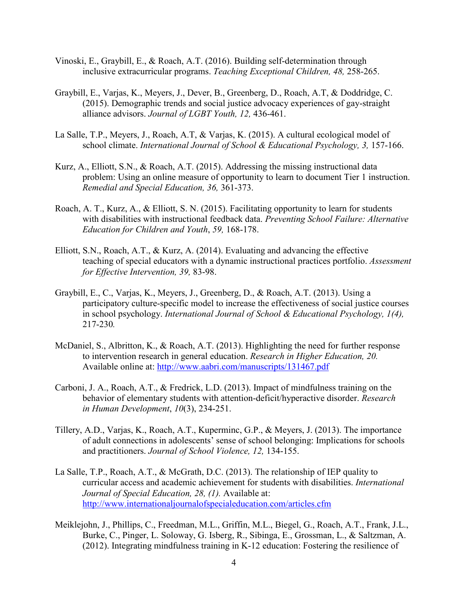- Vinoski, E., Graybill, E., & Roach, A.T. (2016). Building self-determination through inclusive extracurricular programs. *Teaching Exceptional Children, 48,* 258-265.
- Graybill, E., Varjas, K., Meyers, J., Dever, B., Greenberg, D., Roach, A.T, & Doddridge, C. (2015). Demographic trends and social justice advocacy experiences of gay-straight alliance advisors. *Journal of LGBT Youth, 12,* 436-461.
- La Salle, T.P., Meyers, J., Roach, A.T, & Varjas, K. (2015). A cultural ecological model of school climate. *International Journal of School & Educational Psychology*, 3, 157-166.
- Kurz, A., Elliott, S.N., & Roach, A.T. (2015). Addressing the missing instructional data problem: Using an online measure of opportunity to learn to document Tier 1 instruction. *Remedial and Special Education, 36,* 361-373.
- Roach, A. T., Kurz, A., & Elliott, S. N. (2015). Facilitating opportunity to learn for students with disabilities with instructional feedback data. *Preventing School Failure: Alternative Education for Children and Youth*, *59,* 168-178.
- Elliott, S.N., Roach, A.T., & Kurz, A. (2014). Evaluating and advancing the effective teaching of special educators with a dynamic instructional practices portfolio. *Assessment for Effective Intervention, 39,* 83-98.
- Graybill, E., C., Varjas, K., Meyers, J., Greenberg, D., & Roach, A.T. (2013). Using a participatory culture-specific model to increase the effectiveness of social justice courses in school psychology. *International Journal of School & Educational Psychology, 1(4),*  217-230*.*
- McDaniel, S., Albritton, K., & Roach, A.T. (2013). Highlighting the need for further response to intervention research in general education. *Research in Higher Education, 20.* Available online at:<http://www.aabri.com/manuscripts/131467.pdf>
- Carboni, J. A., Roach, A.T., & Fredrick, L.D. (2013). Impact of mindfulness training on the behavior of elementary students with attention-deficit/hyperactive disorder. *Research in Human Development*, *10*(3), 234-251.
- Tillery, A.D., Varjas, K., Roach, A.T., Kuperminc, G.P., & Meyers, J. (2013). The importance of adult connections in adolescents' sense of school belonging: Implications for schools and practitioners. *Journal of School Violence, 12,* 134-155.
- La Salle, T.P., Roach, A.T., & McGrath, D.C. (2013). The relationship of IEP quality to curricular access and academic achievement for students with disabilities. *International Journal of Special Education, 28, (1).* Available at: <http://www.internationaljournalofspecialeducation.com/articles.cfm>
- Meiklejohn, J., Phillips, C., Freedman, M.L., Griffin, M.L., Biegel, G., Roach, A.T., Frank, J.L., Burke, C., Pinger, L. Soloway, G. Isberg, R., Sibinga, E., Grossman, L., & Saltzman, A. (2012). Integrating mindfulness training in K-12 education: Fostering the resilience of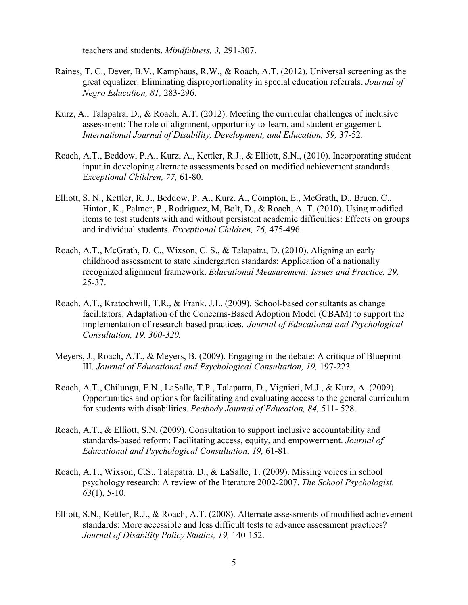teachers and students. *Mindfulness, 3,* 291-307.

- Raines, T. C., Dever, B.V., Kamphaus, R.W., & Roach, A.T. (2012). Universal screening as the great equalizer: Eliminating disproportionality in special education referrals. *Journal of Negro Education, 81,* 283-296.
- Kurz, A., Talapatra, D., & Roach, A.T. (2012). Meeting the curricular challenges of inclusive assessment: The role of alignment, opportunity-to-learn, and student engagement. *International Journal of Disability, Development, and Education, 59,* 37-52*.*
- Roach, A.T., Beddow, P.A., Kurz, A., Kettler, R.J., & Elliott, S.N., (2010). Incorporating student input in developing alternate assessments based on modified achievement standards. E*xceptional Children, 77,* 61-80.
- Elliott, S. N., Kettler, R. J., Beddow, P. A., Kurz, A., Compton, E., McGrath, D., Bruen, C., Hinton, K., Palmer, P., Rodriguez, M, Bolt, D., & Roach, A. T. (2010). Using modified items to test students with and without persistent academic difficulties: Effects on groups and individual students. *Exceptional Children, 76,* 475-496.
- Roach, A.T., McGrath, D. C., Wixson, C. S., & Talapatra, D. (2010). Aligning an early childhood assessment to state kindergarten standards: Application of a nationally recognized alignment framework. *Educational Measurement: Issues and Practice, 29,*  25-37.
- Roach, A.T., Kratochwill, T.R., & Frank, J.L. (2009). School-based consultants as change facilitators: Adaptation of the Concerns-Based Adoption Model (CBAM) to support the implementation of research-based practices. *Journal of Educational and Psychological Consultation, 19, 300-320.*
- Meyers, J., Roach, A.T., & Meyers, B. (2009). Engaging in the debate: A critique of Blueprint III. *Journal of Educational and Psychological Consultation, 19, 197-223.*
- Roach, A.T., Chilungu, E.N., LaSalle, T.P., Talapatra, D., Vignieri, M.J., & Kurz, A. (2009). Opportunities and options for facilitating and evaluating access to the general curriculum for students with disabilities. *Peabody Journal of Education, 84,* 511- 528.
- Roach, A.T., & Elliott, S.N. (2009). Consultation to support inclusive accountability and standards-based reform: Facilitating access, equity, and empowerment. *Journal of Educational and Psychological Consultation, 19,* 61-81.
- Roach, A.T., Wixson, C.S., Talapatra, D., & LaSalle, T. (2009). Missing voices in school psychology research: A review of the literature 2002-2007. *The School Psychologist, 63*(1), 5-10.
- Elliott, S.N., Kettler, R.J., & Roach, A.T. (2008). Alternate assessments of modified achievement standards: More accessible and less difficult tests to advance assessment practices? *Journal of Disability Policy Studies, 19,* 140-152.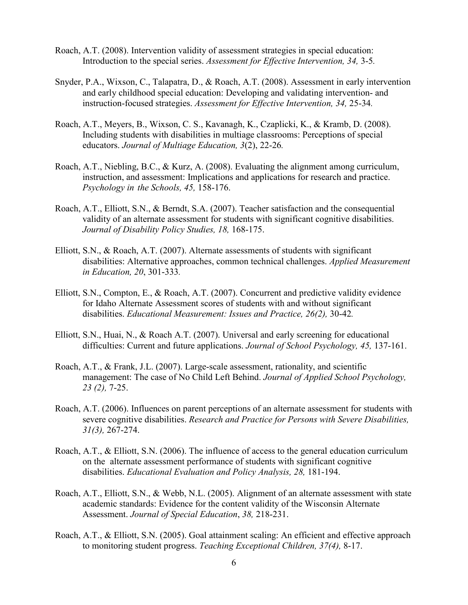- Roach, A.T. (2008). Intervention validity of assessment strategies in special education: Introduction to the special series. *Assessment for Effective Intervention, 34,* 3-5*.*
- Snyder, P.A., Wixson, C., Talapatra, D., & Roach, A.T. (2008). Assessment in early intervention and early childhood special education: Developing and validating intervention- and instruction-focused strategies. *Assessment for Effective Intervention, 34,* 25-34*.*
- Roach, A.T., Meyers, B., Wixson, C. S., Kavanagh, K., Czaplicki, K., & Kramb, D. (2008). Including students with disabilities in multiage classrooms: Perceptions of special educators. *Journal of Multiage Education, 3*(2), 22-26*.*
- Roach, A.T., Niebling, B.C., & Kurz, A. (2008). Evaluating the alignment among curriculum, instruction, and assessment: Implications and applications for research and practice. *Psychology in the Schools, 45,* 158-176.
- Roach, A.T., Elliott, S.N., & Berndt, S.A. (2007). Teacher satisfaction and the consequential validity of an alternate assessment for students with significant cognitive disabilities. *Journal of Disability Policy Studies, 18,* 168-175.
- Elliott, S.N., & Roach, A.T. (2007). Alternate assessments of students with significant disabilities: Alternative approaches, common technical challenges. *Applied Measurement in Education, 20*, 301-333*.*
- Elliott, S.N., Compton, E., & Roach, A.T. (2007). Concurrent and predictive validity evidence for Idaho Alternate Assessment scores of students with and without significant disabilities. *Educational Measurement: Issues and Practice, 26(2),* 30-42*.*
- Elliott, S.N., Huai, N., & Roach A.T. (2007). Universal and early screening for educational difficulties: Current and future applications. *Journal of School Psychology, 45,* 137-161.
- Roach, A.T., & Frank, J.L. (2007). Large-scale assessment, rationality, and scientific management: The case of No Child Left Behind. *Journal of Applied School Psychology, 23 (2),* 7-25.
- Roach, A.T. (2006). Influences on parent perceptions of an alternate assessment for students with severe cognitive disabilities. *Research and Practice for Persons with Severe Disabilities, 31(3),* 267-274.
- Roach, A.T., & Elliott, S.N. (2006). The influence of access to the general education curriculum on the alternate assessment performance of students with significant cognitive disabilities. *Educational Evaluation and Policy Analysis, 28,* 181-194.
- Roach, A.T., Elliott, S.N., & Webb, N.L. (2005). Alignment of an alternate assessment with state academic standards: Evidence for the content validity of the Wisconsin Alternate Assessment. *Journal of Special Education*, *38,* 218-231.
- Roach, A.T., & Elliott, S.N. (2005). Goal attainment scaling: An efficient and effective approach to monitoring student progress. *Teaching Exceptional Children, 37(4),* 8-17.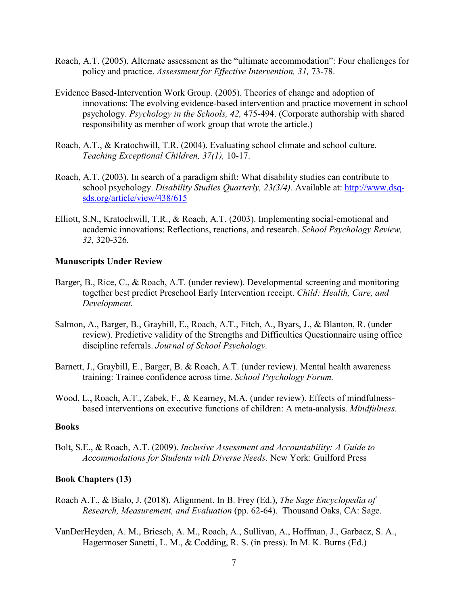- Roach, A.T. (2005). Alternate assessment as the "ultimate accommodation": Four challenges for policy and practice. *Assessment for Effective Intervention, 31,* 73-78.
- Evidence Based-Intervention Work Group. (2005). Theories of change and adoption of innovations: The evolving evidence-based intervention and practice movement in school psychology. *Psychology in the Schools, 42,* 475-494. (Corporate authorship with shared responsibility as member of work group that wrote the article.)
- Roach, A.T., & Kratochwill, T.R. (2004). Evaluating school climate and school culture. *Teaching Exceptional Children, 37(1),* 10-17.
- Roach, A.T. (2003). In search of a paradigm shift: What disability studies can contribute to school psychology. *Disability Studies Quarterly, 23(3/4).* Available at: [http://www.dsq](http://www.dsq-sds.org/article/view/438/615)[sds.org/article/view/438/615](http://www.dsq-sds.org/article/view/438/615)
- Elliott, S.N., Kratochwill, T.R., & Roach, A.T. (2003). Implementing social-emotional and academic innovations: Reflections, reactions, and research. *School Psychology Review, 32,* 320-326*.*

#### **Manuscripts Under Review**

- Barger, B., Rice, C., & Roach, A.T. (under review). Developmental screening and monitoring together best predict Preschool Early Intervention receipt. *Child: Health, Care, and Development.*
- Salmon, A., Barger, B., Graybill, E., Roach, A.T., Fitch, A., Byars, J., & Blanton, R. (under review). Predictive validity of the Strengths and Difficulties Questionnaire using office discipline referrals. *Journal of School Psychology.*
- Barnett, J., Graybill, E., Barger, B. & Roach, A.T. (under review). Mental health awareness training: Trainee confidence across time. *School Psychology Forum.*
- Wood, L., Roach, A.T., Zabek, F., & Kearney, M.A. (under review). Effects of mindfulnessbased interventions on executive functions of children: A meta-analysis. *Mindfulness.*

#### **Books**

Bolt, S.E., & Roach, A.T. (2009). *Inclusive Assessment and Accountability: A Guide to Accommodations for Students with Diverse Needs.* New York: Guilford Press

#### **Book Chapters (13)**

- Roach A.T., & Bialo, J. (2018). Alignment. In B. Frey (Ed.), *The Sage Encyclopedia of Research, Measurement, and Evaluation* (pp. 62-64). Thousand Oaks, CA: Sage.
- VanDerHeyden, A. M., Briesch, A. M., Roach, A., Sullivan, A., Hoffman, J., Garbacz, S. A., Hagermoser Sanetti, L. M., & Codding, R. S. (in press). In M. K. Burns (Ed.)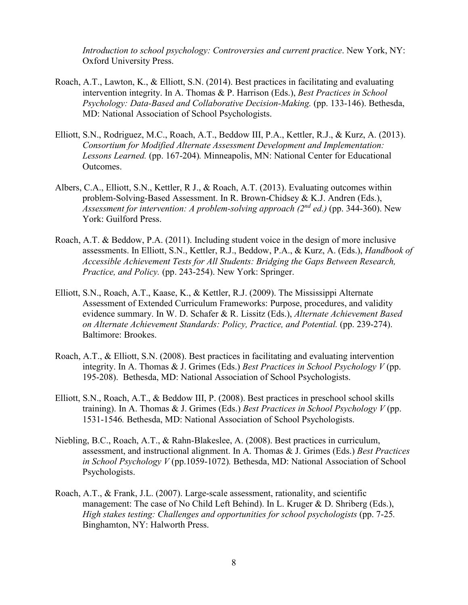*Introduction to school psychology: Controversies and current practice*. New York, NY: Oxford University Press.

- Roach, A.T., Lawton, K., & Elliott, S.N. (2014). Best practices in facilitating and evaluating intervention integrity. In A. Thomas & P. Harrison (Eds.), *Best Practices in School Psychology: Data-Based and Collaborative Decision-Making.* (pp. 133-146). Bethesda, MD: National Association of School Psychologists.
- Elliott, S.N., Rodriguez, M.C., Roach, A.T., Beddow III, P.A., Kettler, R.J., & Kurz, A. (2013). *Consortium for Modified Alternate Assessment Development and Implementation: Lessons Learned.* (pp. 167-204)*.* Minneapolis, MN: National Center for Educational Outcomes.
- Albers, C.A., Elliott, S.N., Kettler, R J., & Roach, A.T. (2013). Evaluating outcomes within problem-Solving-Based Assessment. In R. Brown-Chidsey & K.J. Andren (Eds.), *Assessment for intervention: A problem-solving approach (2nd ed.)* (pp. 344-360). New York: Guilford Press.
- Roach, A.T. & Beddow, P.A. (2011). Including student voice in the design of more inclusive assessments. In Elliott, S.N., Kettler, R.J., Beddow, P.A., & Kurz, A. (Eds.), *Handbook of Accessible Achievement Tests for All Students: Bridging the Gaps Between Research, Practice, and Policy.* (pp. 243-254). New York: Springer.
- Elliott, S.N., Roach, A.T., Kaase, K., & Kettler, R.J. (2009). The Mississippi Alternate Assessment of Extended Curriculum Frameworks: Purpose, procedures, and validity evidence summary. In W. D. Schafer & R. Lissitz (Eds.), *Alternate Achievement Based on Alternate Achievement Standards: Policy, Practice, and Potential.* (pp. 239-274). Baltimore: Brookes.
- Roach, A.T., & Elliott, S.N. (2008). Best practices in facilitating and evaluating intervention integrity. In A. Thomas & J. Grimes (Eds.) *Best Practices in School Psychology V* (pp. 195-208). Bethesda, MD: National Association of School Psychologists.
- Elliott, S.N., Roach, A.T., & Beddow III, P. (2008). Best practices in preschool school skills training). In A. Thomas & J. Grimes (Eds.) *Best Practices in School Psychology V* (pp. 1531-1546*.* Bethesda, MD: National Association of School Psychologists.
- Niebling, B.C., Roach, A.T., & Rahn-Blakeslee, A. (2008). Best practices in curriculum, assessment, and instructional alignment. In A. Thomas & J. Grimes (Eds.) *Best Practices in School Psychology V* (pp.1059-1072)*.* Bethesda, MD: National Association of School Psychologists.
- Roach, A.T., & Frank, J.L. (2007). Large-scale assessment, rationality, and scientific management: The case of No Child Left Behind). In L. Kruger & D. Shriberg (Eds.), *High stakes testing: Challenges and opportunities for school psychologists* (pp. 7-25*.* Binghamton, NY: Halworth Press.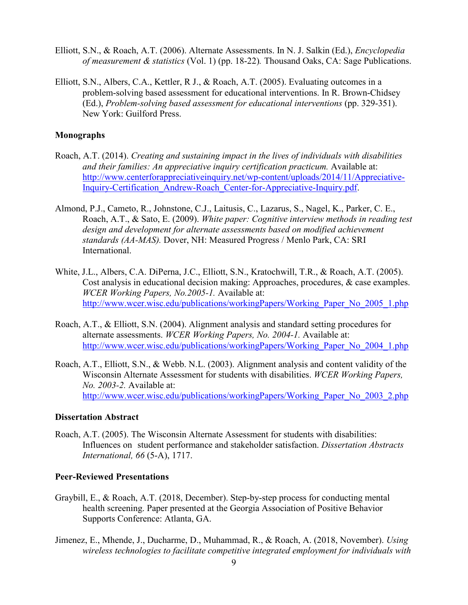- Elliott, S.N., & Roach, A.T. (2006). Alternate Assessments. In N. J. Salkin (Ed.), *Encyclopedia of measurement & statistics* (Vol. 1) (pp. 18-22)*.* Thousand Oaks, CA: Sage Publications.
- Elliott, S.N., Albers, C.A., Kettler, R J., & Roach, A.T. (2005). Evaluating outcomes in a problem-solving based assessment for educational interventions. In R. Brown-Chidsey (Ed.), *Problem-solving based assessment for educational interventions* (pp. 329-351). New York: Guilford Press.

#### **Monographs**

- Roach, A.T. (2014). *Creating and sustaining impact in the lives of individuals with disabilities and their families: An appreciative inquiry certification practicum.* Available at: [http://www.centerforappreciativeinquiry.net/wp-content/uploads/2014/11/Appreciative-](http://www.centerforappreciativeinquiry.net/wp-content/uploads/2014/11/Appreciative-Inquiry-Certification_Andrew-Roach_Center-for-Appreciative-Inquiry.pdf)[Inquiry-Certification\\_Andrew-Roach\\_Center-for-Appreciative-Inquiry.pdf.](http://www.centerforappreciativeinquiry.net/wp-content/uploads/2014/11/Appreciative-Inquiry-Certification_Andrew-Roach_Center-for-Appreciative-Inquiry.pdf)
- Almond, P.J., Cameto, R., Johnstone, C.J., Laitusis, C., Lazarus, S., Nagel, K., Parker, C. E., Roach, A.T., & Sato, E. (2009). *White paper: Cognitive interview methods in reading test design and development for alternate assessments based on modified achievement standards (AA-MAS).* Dover, NH: Measured Progress / Menlo Park, CA: SRI International.
- White, J.L., Albers, C.A. DiPerna, J.C., Elliott, S.N., Kratochwill, T.R., & Roach, A.T. (2005). Cost analysis in educational decision making: Approaches, procedures, & case examples. *WCER Working Papers, No.2005-1.* Available at: [http://www.wcer.wisc.edu/publications/workingPapers/Working\\_Paper\\_No\\_2005\\_1.php](http://www.wcer.wisc.edu/publications/workingPapers/Working_Paper_No_2005_1.php)
- Roach, A.T., & Elliott, S.N. (2004). Alignment analysis and standard setting procedures for alternate assessments. *WCER Working Papers, No. 2004-1.* Available at: [http://www.wcer.wisc.edu/publications/workingPapers/Working\\_Paper\\_No\\_2004\\_1.php](http://www.wcer.wisc.edu/publications/workingPapers/Working_Paper_No_2004_1.php)
- Roach, A.T., Elliott, S.N., & Webb. N.L. (2003). Alignment analysis and content validity of the Wisconsin Alternate Assessment for students with disabilities. *WCER Working Papers, No. 2003-2.* Available at: [http://www.wcer.wisc.edu/publications/workingPapers/Working\\_Paper\\_No\\_2003\\_2.php](http://www.wcer.wisc.edu/publications/workingPapers/Working_Paper_No_2003_2.php)

#### **Dissertation Abstract**

Roach, A.T. (2005). The Wisconsin Alternate Assessment for students with disabilities: Influences on student performance and stakeholder satisfaction. *Dissertation Abstracts International, 66* (5-A), 1717.

#### **Peer-Reviewed Presentations**

- Graybill, E., & Roach, A.T. (2018, December). Step-by-step process for conducting mental health screening. Paper presented at the Georgia Association of Positive Behavior Supports Conference: Atlanta, GA.
- Jimenez, E., Mhende, J., Ducharme, D., Muhammad, R., & Roach, A. (2018, November). *Using wireless technologies to facilitate competitive integrated employment for individuals with*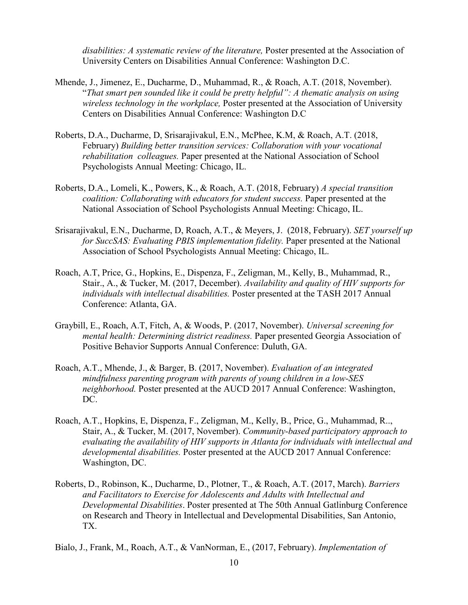*disabilities: A systematic review of the literature,* Poster presented at the Association of University Centers on Disabilities Annual Conference: Washington D.C.

- Mhende, J., Jimenez, E., Ducharme, D., Muhammad, R., & Roach, A.T. (2018, November). "*That smart pen sounded like it could be pretty helpful": A thematic analysis on using wireless technology in the workplace,* Poster presented at the Association of University Centers on Disabilities Annual Conference: Washington D.C
- Roberts, D.A., Ducharme, D, Srisarajivakul, E.N., McPhee, K.M, & Roach, A.T. (2018, February) *Building better transition services: Collaboration with your vocational rehabilitation colleagues.* Paper presented at the National Association of School Psychologists Annual Meeting: Chicago, IL.
- Roberts, D.A., Lomeli, K., Powers, K., & Roach, A.T. (2018, February) *A special transition coalition: Collaborating with educators for student success.* Paper presented at the National Association of School Psychologists Annual Meeting: Chicago, IL.
- Srisarajivakul, E.N., Ducharme, D, Roach, A.T., & Meyers, J. (2018, February). *SET yourself up for SuccSAS: Evaluating PBIS implementation fidelity.* Paper presented at the National Association of School Psychologists Annual Meeting: Chicago, IL.
- Roach, A.T, Price, G., Hopkins, E., Dispenza, F., Zeligman, M., Kelly, B., Muhammad, R., Stair., A., & Tucker, M. (2017, December). *Availability and quality of HIV supports for individuals with intellectual disabilities.* Poster presented at the TASH 2017 Annual Conference: Atlanta, GA.
- Graybill, E., Roach, A.T, Fitch, A, & Woods, P. (2017, November). *Universal screening for mental health: Determining district readiness.* Paper presented Georgia Association of Positive Behavior Supports Annual Conference: Duluth, GA.
- Roach, A.T., Mhende, J., & Barger, B. (2017, November). *Evaluation of an integrated mindfulness parenting program with parents of young children in a low-SES neighborhood.* Poster presented at the AUCD 2017 Annual Conference: Washington, DC.
- Roach, A.T., Hopkins, E, Dispenza, F., Zeligman, M., Kelly, B., Price, G., Muhammad, R.., Stair, A., & Tucker, M. (2017, November). *Community-based participatory approach to evaluating the availability of HIV supports in Atlanta for individuals with intellectual and developmental disabilities.* Poster presented at the AUCD 2017 Annual Conference: Washington, DC.
- Roberts, D., Robinson, K., Ducharme, D., Plotner, T., & Roach, A.T. (2017, March). *Barriers and Facilitators to Exercise for Adolescents and Adults with Intellectual and Developmental Disabilities*. Poster presented at The 50th Annual Gatlinburg Conference on Research and Theory in Intellectual and Developmental Disabilities, San Antonio, TX.
- Bialo, J., Frank, M., Roach, A.T., & VanNorman, E., (2017, February). *Implementation of*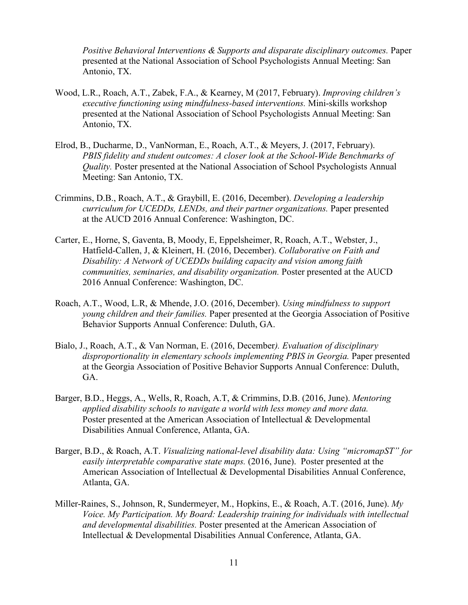*Positive Behavioral Interventions & Supports and disparate disciplinary outcomes.* Paper presented at the National Association of School Psychologists Annual Meeting: San Antonio, TX.

- Wood, L.R., Roach, A.T., Zabek, F.A., & Kearney, M (2017, February). *Improving children's executive functioning using mindfulness-based interventions.* Mini-skills workshop presented at the National Association of School Psychologists Annual Meeting: San Antonio, TX.
- Elrod, B., Ducharme, D., VanNorman, E., Roach, A.T., & Meyers, J. (2017, February). *PBIS fidelity and student outcomes: A closer look at the School-Wide Benchmarks of Quality.* Poster presented at the National Association of School Psychologists Annual Meeting: San Antonio, TX.
- Crimmins, D.B., Roach, A.T., & Graybill, E. (2016, December). *Developing a leadership curriculum for UCEDDs, LENDs, and their partner organizations.* Paper presented at the AUCD 2016 Annual Conference: Washington, DC.
- Carter, E., Horne, S, Gaventa, B, Moody, E, Eppelsheimer, R, Roach, A.T., Webster, J., Hatfield-Callen, J, & Kleinert, H. (2016, December). *Collaborative on Faith and Disability: A Network of UCEDDs building capacity and vision among faith communities, seminaries, and disability organization.* Poster presented at the AUCD 2016 Annual Conference: Washington, DC.
- Roach, A.T., Wood, L.R, & Mhende, J.O. (2016, December). *Using mindfulness to support young children and their families.* Paper presented at the Georgia Association of Positive Behavior Supports Annual Conference: Duluth, GA.
- Bialo, J., Roach, A.T., & Van Norman, E. (2016, December*). Evaluation of disciplinary disproportionality in elementary schools implementing PBIS in Georgia.* Paper presented at the Georgia Association of Positive Behavior Supports Annual Conference: Duluth, GA.
- Barger, B.D., Heggs, A., Wells, R, Roach, A.T, & Crimmins, D.B. (2016, June). *Mentoring applied disability schools to navigate a world with less money and more data.* Poster presented at the American Association of Intellectual & Developmental Disabilities Annual Conference, Atlanta, GA.
- Barger, B.D., & Roach, A.T. *Visualizing national-level disability data: Using "micromapST" for easily interpretable comparative state maps.* (2016, June). Poster presented at the American Association of Intellectual & Developmental Disabilities Annual Conference, Atlanta, GA.
- Miller-Raines, S., Johnson, R, Sundermeyer, M., Hopkins, E., & Roach, A.T. (2016, June). *My Voice. My Participation. My Board: Leadership training for individuals with intellectual and developmental disabilities.* Poster presented at the American Association of Intellectual & Developmental Disabilities Annual Conference, Atlanta, GA.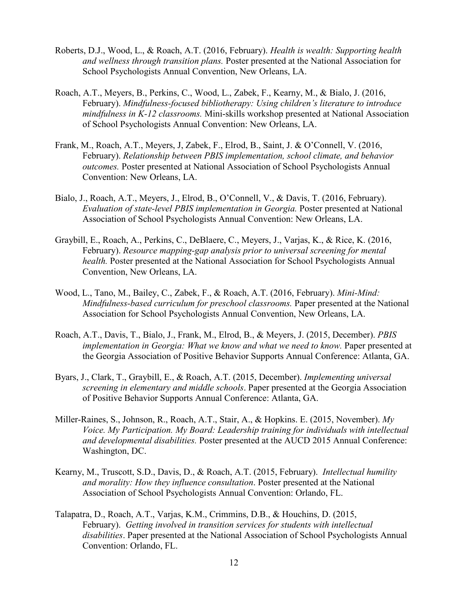- Roberts, D.J., Wood, L., & Roach, A.T. (2016, February). *Health is wealth: Supporting health and wellness through transition plans.* Poster presented at the National Association for School Psychologists Annual Convention, New Orleans, LA.
- Roach, A.T., Meyers, B., Perkins, C., Wood, L., Zabek, F., Kearny, M., & Bialo, J. (2016, February). *Mindfulness-focused bibliotherapy: Using children's literature to introduce mindfulness in K-12 classrooms.* Mini-skills workshop presented at National Association of School Psychologists Annual Convention: New Orleans, LA.
- Frank, M., Roach, A.T., Meyers, J, Zabek, F., Elrod, B., Saint, J. & O'Connell, V. (2016, February). *Relationship between PBIS implementation, school climate, and behavior outcomes.* Poster presented at National Association of School Psychologists Annual Convention: New Orleans, LA.
- Bialo, J., Roach, A.T., Meyers, J., Elrod, B., O'Connell, V., & Davis, T. (2016, February). *Evaluation of state-level PBIS implementation in Georgia. Poster presented at National* Association of School Psychologists Annual Convention: New Orleans, LA.
- Graybill, E., Roach, A., Perkins, C., DeBlaere, C., Meyers, J., Varjas, K., & Rice, K. (2016, February). *Resource mapping-gap analysis prior to universal screening for mental health.* Poster presented at the National Association for School Psychologists Annual Convention, New Orleans, LA.
- Wood, L., Tano, M., Bailey, C., Zabek, F., & Roach, A.T. (2016, February). *Mini-Mind: Mindfulness-based curriculum for preschool classrooms.* Paper presented at the National Association for School Psychologists Annual Convention, New Orleans, LA.
- Roach, A.T., Davis, T., Bialo, J., Frank, M., Elrod, B., & Meyers, J. (2015, December). *PBIS implementation in Georgia: What we know and what we need to know.* Paper presented at the Georgia Association of Positive Behavior Supports Annual Conference: Atlanta, GA.
- Byars, J., Clark, T., Graybill, E., & Roach, A.T. (2015, December). *Implementing universal screening in elementary and middle schools*. Paper presented at the Georgia Association of Positive Behavior Supports Annual Conference: Atlanta, GA.
- Miller-Raines, S., Johnson, R., Roach, A.T., Stair, A., & Hopkins. E. (2015, November). *My Voice. My Participation. My Board: Leadership training for individuals with intellectual and developmental disabilities.* Poster presented at the AUCD 2015 Annual Conference: Washington, DC.
- Kearny, M., Truscott, S.D., Davis, D., & Roach, A.T. (2015, February). *Intellectual humility and morality: How they influence consultation*. Poster presented at the National Association of School Psychologists Annual Convention: Orlando, FL.
- Talapatra, D., Roach, A.T., Varjas, K.M., Crimmins, D.B., & Houchins, D. (2015, February). *Getting involved in transition services for students with intellectual disabilities*. Paper presented at the National Association of School Psychologists Annual Convention: Orlando, FL.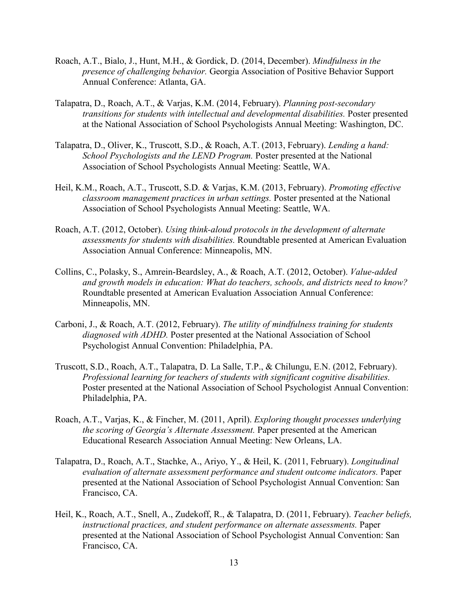- Roach, A.T., Bialo, J., Hunt, M.H., & Gordick, D. (2014, December). *Mindfulness in the presence of challenging behavior.* Georgia Association of Positive Behavior Support Annual Conference: Atlanta, GA.
- Talapatra, D., Roach, A.T., & Varjas, K.M. (2014, February). *Planning post-secondary transitions for students with intellectual and developmental disabilities.* Poster presented at the National Association of School Psychologists Annual Meeting: Washington, DC.
- Talapatra, D., Oliver, K., Truscott, S.D., & Roach, A.T. (2013, February). *Lending a hand: School Psychologists and the LEND Program.* Poster presented at the National Association of School Psychologists Annual Meeting: Seattle, WA.
- Heil, K.M., Roach, A.T., Truscott, S.D. & Varjas, K.M. (2013, February). *Promoting effective classroom management practices in urban settings.* Poster presented at the National Association of School Psychologists Annual Meeting: Seattle, WA.
- Roach, A.T. (2012, October). *Using think-aloud protocols in the development of alternate assessments for students with disabilities.* Roundtable presented at American Evaluation Association Annual Conference: Minneapolis, MN.
- Collins, C., Polasky, S., Amrein-Beardsley, A., & Roach, A.T. (2012, October). *Value-added and growth models in education: What do teachers, schools, and districts need to know?* Roundtable presented at American Evaluation Association Annual Conference: Minneapolis, MN.
- Carboni, J., & Roach, A.T. (2012, February). *The utility of mindfulness training for students diagnosed with ADHD.* Poster presented at the National Association of School Psychologist Annual Convention: Philadelphia, PA.
- Truscott, S.D., Roach, A.T., Talapatra, D. La Salle, T.P., & Chilungu, E.N. (2012, February). *Professional learning for teachers of students with significant cognitive disabilities.*  Poster presented at the National Association of School Psychologist Annual Convention: Philadelphia, PA.
- Roach, A.T., Varjas, K., & Fincher, M. (2011, April). *Exploring thought processes underlying the scoring of Georgia's Alternate Assessment.* Paper presented at the American Educational Research Association Annual Meeting: New Orleans, LA.
- Talapatra, D., Roach, A.T., Stachke, A., Ariyo, Y., & Heil, K. (2011, February). *Longitudinal evaluation of alternate assessment performance and student outcome indicators.* Paper presented at the National Association of School Psychologist Annual Convention: San Francisco, CA.
- Heil, K., Roach, A.T., Snell, A., Zudekoff, R., & Talapatra, D. (2011, February). *Teacher beliefs, instructional practices, and student performance on alternate assessments.* Paper presented at the National Association of School Psychologist Annual Convention: San Francisco, CA.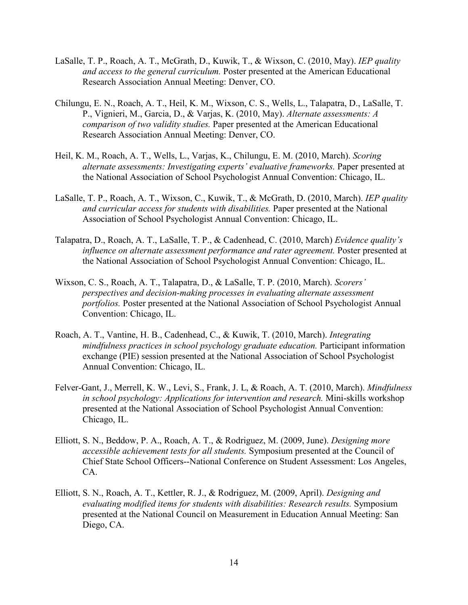- LaSalle, T. P., Roach, A. T., McGrath, D., Kuwik, T., & Wixson, C. (2010, May). *IEP quality and access to the general curriculum.* Poster presented at the American Educational Research Association Annual Meeting: Denver, CO.
- Chilungu, E. N., Roach, A. T., Heil, K. M., Wixson, C. S., Wells, L., Talapatra, D., LaSalle, T. P., Vignieri, M., Garcia, D., & Varjas, K. (2010, May). *Alternate assessments: A comparison of two validity studies.* Paper presented at the American Educational Research Association Annual Meeting: Denver, CO.
- Heil, K. M., Roach, A. T., Wells, L., Varjas, K., Chilungu, E. M. (2010, March). *Scoring alternate assessments: Investigating experts' evaluative frameworks.* Paper presented at the National Association of School Psychologist Annual Convention: Chicago, IL.
- LaSalle, T. P., Roach, A. T., Wixson, C., Kuwik, T., & McGrath, D. (2010, March). *IEP quality and curricular access for students with disabilities.* Paper presented at the National Association of School Psychologist Annual Convention: Chicago, IL.
- Talapatra, D., Roach, A. T., LaSalle, T. P., & Cadenhead, C. (2010, March) *Evidence quality's influence on alternate assessment performance and rater agreement.* Poster presented at the National Association of School Psychologist Annual Convention: Chicago, IL.
- Wixson, C. S., Roach, A. T., Talapatra, D., & LaSalle, T. P. (2010, March). *Scorers' perspectives and decision-making processes in evaluating alternate assessment portfolios.* Poster presented at the National Association of School Psychologist Annual Convention: Chicago, IL.
- Roach, A. T., Vantine, H. B., Cadenhead, C., & Kuwik, T. (2010, March). *Integrating mindfulness practices in school psychology graduate education.* Participant information exchange (PIE) session presented at the National Association of School Psychologist Annual Convention: Chicago, IL.
- Felver-Gant, J., Merrell, K. W., Levi, S., Frank, J. L, & Roach, A. T. (2010, March). *Mindfulness in school psychology: Applications for intervention and research.* Mini-skills workshop presented at the National Association of School Psychologist Annual Convention: Chicago, IL.
- Elliott, S. N., Beddow, P. A., Roach, A. T., & Rodriguez, M. (2009, June). *Designing more accessible achievement tests for all students.* Symposium presented at the Council of Chief State School Officers--National Conference on Student Assessment: Los Angeles, CA.
- Elliott, S. N., Roach, A. T., Kettler, R. J., & Rodriguez, M. (2009, April). *Designing and evaluating modified items for students with disabilities: Research results.* Symposium presented at the National Council on Measurement in Education Annual Meeting: San Diego, CA.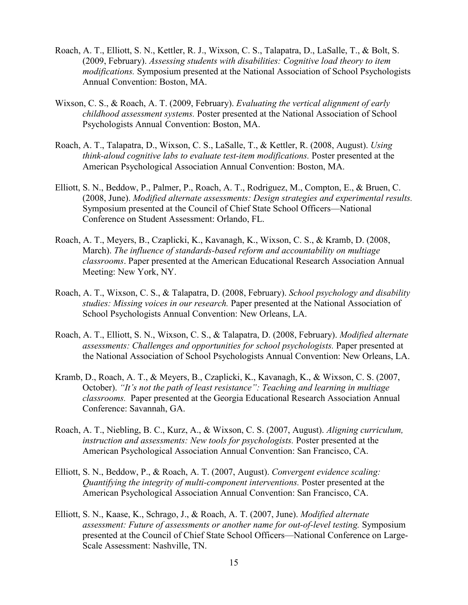- Roach, A. T., Elliott, S. N., Kettler, R. J., Wixson, C. S., Talapatra, D., LaSalle, T., & Bolt, S. (2009, February). *Assessing students with disabilities: Cognitive load theory to item modifications.* Symposium presented at the National Association of School Psychologists Annual Convention: Boston, MA.
- Wixson, C. S., & Roach, A. T. (2009, February). *Evaluating the vertical alignment of early childhood assessment systems.* Poster presented at the National Association of School Psychologists Annual Convention: Boston, MA.
- Roach, A. T., Talapatra, D., Wixson, C. S., LaSalle, T., & Kettler, R. (2008, August). *Using think-aloud cognitive labs to evaluate test-item modifications.* Poster presented at the American Psychological Association Annual Convention: Boston, MA.
- Elliott, S. N., Beddow, P., Palmer, P., Roach, A. T., Rodriguez, M., Compton, E., & Bruen, C. (2008, June). *Modified alternate assessments: Design strategies and experimental results.* Symposium presented at the Council of Chief State School Officers—National Conference on Student Assessment: Orlando, FL.
- Roach, A. T., Meyers, B., Czaplicki, K., Kavanagh, K., Wixson, C. S., & Kramb, D. (2008, March). *The influence of standards-based reform and accountability on multiage classrooms*. Paper presented at the American Educational Research Association Annual Meeting: New York, NY.
- Roach, A. T., Wixson, C. S., & Talapatra, D. (2008, February). *School psychology and disability studies: Missing voices in our research.* Paper presented at the National Association of School Psychologists Annual Convention: New Orleans, LA.
- Roach, A. T., Elliott, S. N., Wixson, C. S., & Talapatra, D. (2008, February). *Modified alternate assessments: Challenges and opportunities for school psychologists.* Paper presented at the National Association of School Psychologists Annual Convention: New Orleans, LA.
- Kramb, D., Roach, A. T., & Meyers, B., Czaplicki, K., Kavanagh, K., & Wixson, C. S. (2007, October). *"It's not the path of least resistance": Teaching and learning in multiage classrooms.* Paper presented at the Georgia Educational Research Association Annual Conference: Savannah, GA.
- Roach, A. T., Niebling, B. C., Kurz, A., & Wixson, C. S. (2007, August). *Aligning curriculum, instruction and assessments: New tools for psychologists.* Poster presented at the American Psychological Association Annual Convention: San Francisco, CA.
- Elliott, S. N., Beddow, P., & Roach, A. T. (2007, August). *Convergent evidence scaling: Quantifying the integrity of multi-component interventions.* Poster presented at the American Psychological Association Annual Convention: San Francisco, CA.
- Elliott, S. N., Kaase, K., Schrago, J., & Roach, A. T. (2007, June). *Modified alternate assessment: Future of assessments or another name for out-of-level testing.* Symposium presented at the Council of Chief State School Officers—National Conference on Large-Scale Assessment: Nashville, TN.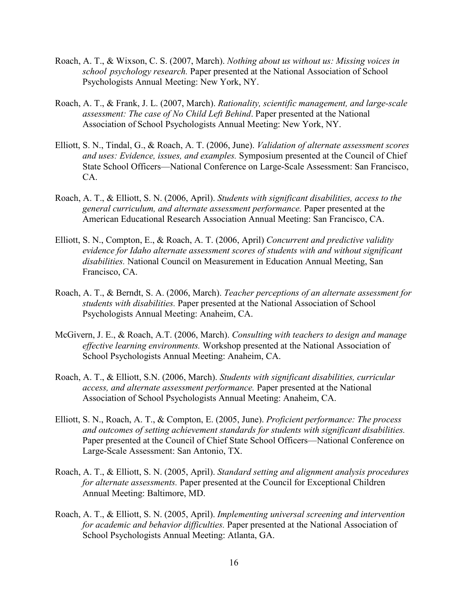- Roach, A. T., & Wixson, C. S. (2007, March). *Nothing about us without us: Missing voices in school psychology research.* Paper presented at the National Association of School Psychologists Annual Meeting: New York, NY.
- Roach, A. T., & Frank, J. L. (2007, March). *Rationality, scientific management, and large-scale assessment: The case of No Child Left Behind*. Paper presented at the National Association of School Psychologists Annual Meeting: New York, NY.
- Elliott, S. N., Tindal, G., & Roach, A. T. (2006, June). *Validation of alternate assessment scores and uses: Evidence, issues, and examples.* Symposium presented at the Council of Chief State School Officers—National Conference on Large-Scale Assessment: San Francisco, CA.
- Roach, A. T., & Elliott, S. N. (2006, April). *Students with significant disabilities, access to the general curriculum, and alternate assessment performance.* Paper presented at the American Educational Research Association Annual Meeting: San Francisco, CA.
- Elliott, S. N., Compton, E., & Roach, A. T. (2006, April) *Concurrent and predictive validity evidence for Idaho alternate assessment scores of students with and without significant disabilities.* National Council on Measurement in Education Annual Meeting, San Francisco, CA.
- Roach, A. T., & Berndt, S. A. (2006, March). *Teacher perceptions of an alternate assessment for students with disabilities.* Paper presented at the National Association of School Psychologists Annual Meeting: Anaheim, CA.
- McGivern, J. E., & Roach, A.T. (2006, March). *Consulting with teachers to design and manage effective learning environments.* Workshop presented at the National Association of School Psychologists Annual Meeting: Anaheim, CA.
- Roach, A. T., & Elliott, S.N. (2006, March). *Students with significant disabilities, curricular access, and alternate assessment performance.* Paper presented at the National Association of School Psychologists Annual Meeting: Anaheim, CA.
- Elliott, S. N., Roach, A. T., & Compton, E. (2005, June). *Proficient performance: The process and outcomes of setting achievement standards for students with significant disabilities.*  Paper presented at the Council of Chief State School Officers—National Conference on Large-Scale Assessment: San Antonio, TX.
- Roach, A. T., & Elliott, S. N. (2005, April). *Standard setting and alignment analysis procedures for alternate assessments.* Paper presented at the Council for Exceptional Children Annual Meeting: Baltimore, MD.
- Roach, A. T., & Elliott, S. N. (2005, April). *Implementing universal screening and intervention for academic and behavior difficulties.* Paper presented at the National Association of School Psychologists Annual Meeting: Atlanta, GA.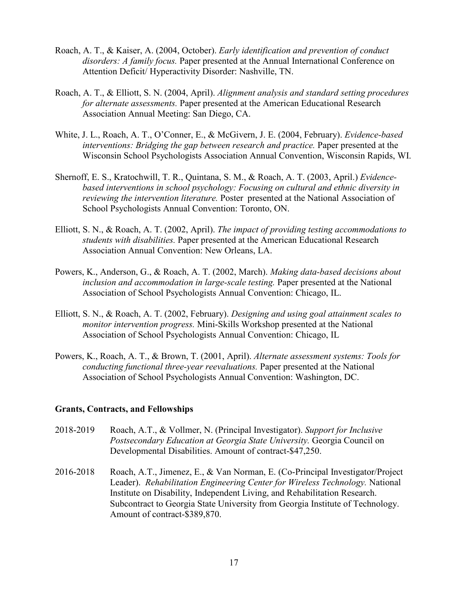- Roach, A. T., & Kaiser, A. (2004, October). *Early identification and prevention of conduct disorders: A family focus.* Paper presented at the Annual International Conference on Attention Deficit/ Hyperactivity Disorder: Nashville, TN.
- Roach, A. T., & Elliott, S. N. (2004, April). *Alignment analysis and standard setting procedures for alternate assessments.* Paper presented at the American Educational Research Association Annual Meeting: San Diego, CA.
- White, J. L., Roach, A. T., O'Conner, E., & McGivern, J. E. (2004, February). *Evidence-based interventions: Bridging the gap between research and practice.* Paper presented at the Wisconsin School Psychologists Association Annual Convention, Wisconsin Rapids, WI.
- Shernoff, E. S., Kratochwill, T. R., Quintana, S. M., & Roach, A. T. (2003, April.) *Evidencebased interventions in school psychology: Focusing on cultural and ethnic diversity in reviewing the intervention literature.* Poster presented at the National Association of School Psychologists Annual Convention: Toronto, ON.
- Elliott, S. N., & Roach, A. T. (2002, April). *The impact of providing testing accommodations to students with disabilities.* Paper presented at the American Educational Research Association Annual Convention: New Orleans, LA.
- Powers, K., Anderson, G., & Roach, A. T. (2002, March). *Making data-based decisions about inclusion and accommodation in large-scale testing.* Paper presented at the National Association of School Psychologists Annual Convention: Chicago, IL.
- Elliott, S. N., & Roach, A. T. (2002, February). *Designing and using goal attainment scales to monitor intervention progress.* Mini-Skills Workshop presented at the National Association of School Psychologists Annual Convention: Chicago, IL
- Powers, K., Roach, A. T., & Brown, T. (2001, April). *Alternate assessment systems: Tools for conducting functional three-year reevaluations.* Paper presented at the National Association of School Psychologists Annual Convention: Washington, DC.

#### **Grants, Contracts, and Fellowships**

- 2018-2019 Roach, A.T., & Vollmer, N. (Principal Investigator). *Support for Inclusive Postsecondary Education at Georgia State University.* Georgia Council on Developmental Disabilities. Amount of contract-\$47,250.
- 2016-2018 Roach, A.T., Jimenez, E., & Van Norman, E. (Co-Principal Investigator/Project Leader). *Rehabilitation Engineering Center for Wireless Technology.* National Institute on Disability, Independent Living, and Rehabilitation Research. Subcontract to Georgia State University from Georgia Institute of Technology. Amount of contract-\$389,870.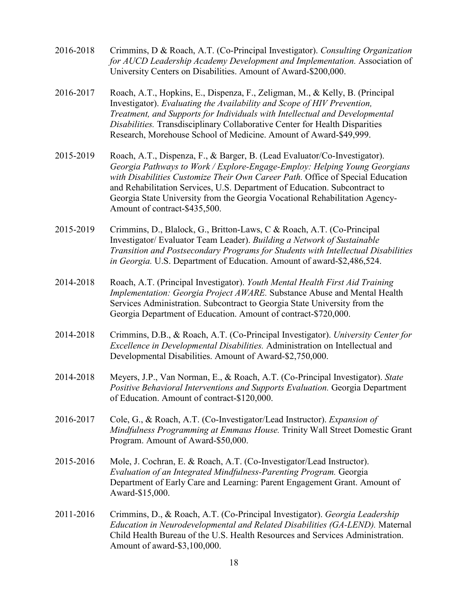- 2016-2018 Crimmins, D & Roach, A.T. (Co-Principal Investigator). *Consulting Organization for AUCD Leadership Academy Development and Implementation.* Association of University Centers on Disabilities. Amount of Award-\$200,000.
- 2016-2017 Roach, A.T., Hopkins, E., Dispenza, F., Zeligman, M., & Kelly, B. (Principal Investigator). *Evaluating the Availability and Scope of HIV Prevention, Treatment, and Supports for Individuals with Intellectual and Developmental Disabilities.* Transdisciplinary Collaborative Center for Health Disparities Research, Morehouse School of Medicine. Amount of Award-\$49,999.
- 2015-2019 Roach, A.T., Dispenza, F., & Barger, B. (Lead Evaluator/Co-Investigator). *Georgia Pathways to Work / Explore-Engage-Employ: Helping Young Georgians with Disabilities Customize Their Own Career Path.* Office of Special Education and Rehabilitation Services, U.S. Department of Education. Subcontract to Georgia State University from the Georgia Vocational Rehabilitation Agency-Amount of contract-\$435,500.
- 2015-2019 Crimmins, D., Blalock, G., Britton-Laws, C & Roach, A.T. (Co-Principal Investigator/ Evaluator Team Leader). *Building a Network of Sustainable Transition and Postsecondary Programs for Students with Intellectual Disabilities in Georgia.* U.S. Department of Education. Amount of award-\$2,486,524.
- 2014-2018 Roach, A.T. (Principal Investigator). *Youth Mental Health First Aid Training Implementation: Georgia Project AWARE.* Substance Abuse and Mental Health Services Administration. Subcontract to Georgia State University from the Georgia Department of Education. Amount of contract-\$720,000.
- 2014-2018 Crimmins, D.B., & Roach, A.T. (Co-Principal Investigator). *University Center for Excellence in Developmental Disabilities.* Administration on Intellectual and Developmental Disabilities. Amount of Award-\$2,750,000.
- 2014-2018 Meyers, J.P., Van Norman, E., & Roach, A.T. (Co-Principal Investigator). *State Positive Behavioral Interventions and Supports Evaluation.* Georgia Department of Education. Amount of contract-\$120,000.
- 2016-2017 Cole, G., & Roach, A.T. (Co-Investigator/Lead Instructor). *Expansion of Mindfulness Programming at Emmaus House.* Trinity Wall Street Domestic Grant Program. Amount of Award-\$50,000.
- 2015-2016 Mole, J. Cochran, E. & Roach, A.T. (Co-Investigator/Lead Instructor). *Evaluation of an Integrated Mindfulness-Parenting Program.* Georgia Department of Early Care and Learning: Parent Engagement Grant. Amount of Award-\$15,000.
- 2011-2016 Crimmins, D., & Roach, A.T. (Co-Principal Investigator). *Georgia Leadership Education in Neurodevelopmental and Related Disabilities (GA-LEND).* Maternal Child Health Bureau of the U.S. Health Resources and Services Administration. Amount of award-\$3,100,000.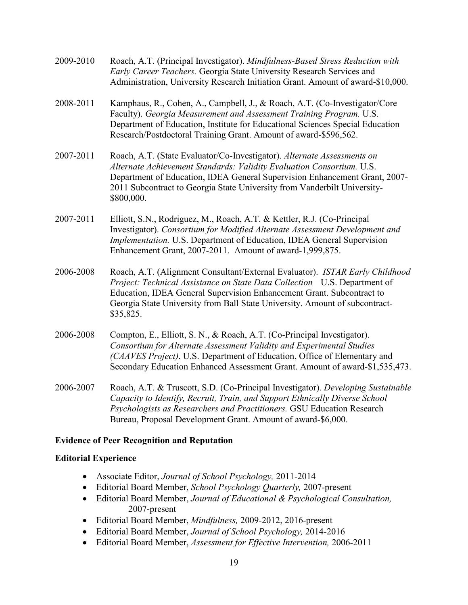- 2009-2010 Roach, A.T. (Principal Investigator). *Mindfulness-Based Stress Reduction with Early Career Teachers.* Georgia State University Research Services and Administration, University Research Initiation Grant. Amount of award-\$10,000. 2008-2011 Kamphaus, R., Cohen, A., Campbell, J., & Roach, A.T. (Co-Investigator/Core Faculty). *Georgia Measurement and Assessment Training Program.* U.S. Department of Education, Institute for Educational Sciences Special Education Research/Postdoctoral Training Grant. Amount of award-\$596,562. 2007-2011 Roach, A.T. (State Evaluator/Co-Investigator). *Alternate Assessments on Alternate Achievement Standards: Validity Evaluation Consortium.* U.S. Department of Education, IDEA General Supervision Enhancement Grant, 2007- 2011 Subcontract to Georgia State University from Vanderbilt University- \$800,000. 2007-2011 Elliott, S.N., Rodriguez, M., Roach, A.T. & Kettler, R.J. (Co-Principal Investigator). *Consortium for Modified Alternate Assessment Development and Implementation.* U.S. Department of Education, IDEA General Supervision Enhancement Grant, 2007-2011. Amount of award-1,999,875. 2006-2008 Roach, A.T. (Alignment Consultant/External Evaluator). *ISTAR Early Childhood Project: Technical Assistance on State Data Collection—*U.S. Department of Education, IDEA General Supervision Enhancement Grant. Subcontract to Georgia State University from Ball State University. Amount of subcontract- \$35,825.
- 2006-2008 Compton, E., Elliott, S. N., & Roach, A.T. (Co-Principal Investigator). *Consortium for Alternate Assessment Validity and Experimental Studies (CAAVES Project)*. U.S. Department of Education, Office of Elementary and Secondary Education Enhanced Assessment Grant. Amount of award-\$1,535,473.
- 2006-2007 Roach, A.T. & Truscott, S.D. (Co-Principal Investigator). *Developing Sustainable Capacity to Identify, Recruit, Train, and Support Ethnically Diverse School Psychologists as Researchers and Practitioners.* GSU Education Research Bureau, Proposal Development Grant. Amount of award-\$6,000.

### **Evidence of Peer Recognition and Reputation**

#### **Editorial Experience**

- Associate Editor, *Journal of School Psychology,* 2011-2014
- Editorial Board Member, *School Psychology Quarterly,* 2007-present
- Editorial Board Member, *Journal of Educational & Psychological Consultation,*  2007-present
- Editorial Board Member, *Mindfulness,* 2009-2012, 2016-present
- Editorial Board Member, *Journal of School Psychology,* 2014-2016
- Editorial Board Member, *Assessment for Effective Intervention,* 2006-2011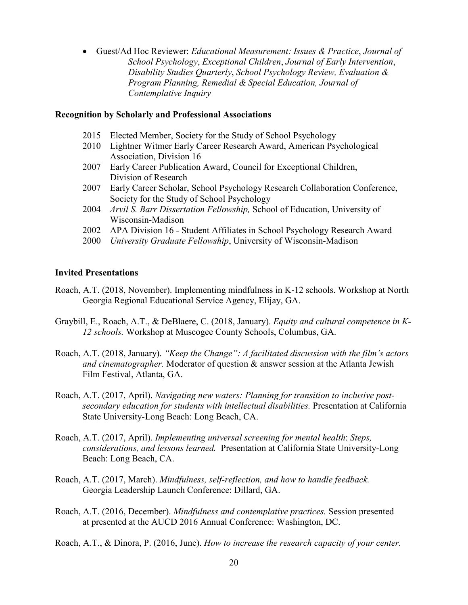• Guest/Ad Hoc Reviewer: *Educational Measurement: Issues & Practice*, *Journal of School Psychology*, *Exceptional Children*, *Journal of Early Intervention*, *Disability Studies Quarterly*, *School Psychology Review, Evaluation & Program Planning, Remedial & Special Education, Journal of Contemplative Inquiry*

#### **Recognition by Scholarly and Professional Associations**

- 2015 Elected Member, Society for the Study of School Psychology
- 2010 Lightner Witmer Early Career Research Award, American Psychological Association, Division 16
- 2007 Early Career Publication Award, Council for Exceptional Children, Division of Research
- 2007 Early Career Scholar, School Psychology Research Collaboration Conference, Society for the Study of School Psychology
- 2004 *Arvil S. Barr Dissertation Fellowship,* School of Education, University of Wisconsin-Madison
- 2002 APA Division 16 Student Affiliates in School Psychology Research Award
- 2000 *University Graduate Fellowship*, University of Wisconsin-Madison

#### **Invited Presentations**

- Roach, A.T. (2018, November). Implementing mindfulness in K-12 schools. Workshop at North Georgia Regional Educational Service Agency, Elijay, GA.
- Graybill, E., Roach, A.T., & DeBlaere, C. (2018, January). *Equity and cultural competence in K-12 schools.* Workshop at Muscogee County Schools, Columbus, GA.
- Roach, A.T. (2018, January). *"Keep the Change": A facilitated discussion with the film's actors and cinematographer.* Moderator of question & answer session at the Atlanta Jewish Film Festival, Atlanta, GA.
- Roach, A.T. (2017, April). *Navigating new waters: Planning for transition to inclusive postsecondary education for students with intellectual disabilities.* Presentation at California State University-Long Beach: Long Beach, CA.
- Roach, A.T. (2017, April). *Implementing universal screening for mental health*: *Steps, considerations, and lessons learned.* Presentation at California State University-Long Beach: Long Beach, CA.
- Roach, A.T. (2017, March). *Mindfulness, self-reflection, and how to handle feedback.* Georgia Leadership Launch Conference: Dillard, GA.
- Roach, A.T. (2016, December). *Mindfulness and contemplative practices.* Session presented at presented at the AUCD 2016 Annual Conference: Washington, DC.
- Roach, A.T., & Dinora, P. (2016, June). *How to increase the research capacity of your center.*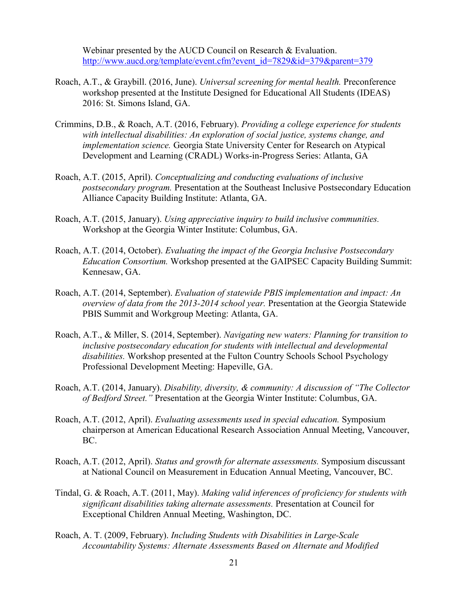Webinar presented by the AUCD Council on Research & Evaluation. [http://www.aucd.org/template/event.cfm?event\\_id=7829&id=379&parent=379](http://www.aucd.org/template/event.cfm?event_id=7829&id=379&parent=379)

- Roach, A.T., & Graybill. (2016, June). *Universal screening for mental health.* Preconference workshop presented at the Institute Designed for Educational All Students (IDEAS) 2016: St. Simons Island, GA.
- Crimmins, D.B., & Roach, A.T. (2016, February). *Providing a college experience for students with intellectual disabilities: An exploration of social justice, systems change, and implementation science.* Georgia State University Center for Research on Atypical Development and Learning (CRADL) Works-in-Progress Series: Atlanta, GA
- Roach, A.T. (2015, April). *Conceptualizing and conducting evaluations of inclusive postsecondary program.* Presentation at the Southeast Inclusive Postsecondary Education Alliance Capacity Building Institute: Atlanta, GA.
- Roach, A.T. (2015, January). *Using appreciative inquiry to build inclusive communities.*  Workshop at the Georgia Winter Institute: Columbus, GA.
- Roach, A.T. (2014, October). *Evaluating the impact of the Georgia Inclusive Postsecondary Education Consortium.* Workshop presented at the GAIPSEC Capacity Building Summit: Kennesaw, GA.
- Roach, A.T. (2014, September). *Evaluation of statewide PBIS implementation and impact: An overview of data from the 2013-2014 school year.* Presentation at the Georgia Statewide PBIS Summit and Workgroup Meeting: Atlanta, GA.
- Roach, A.T., & Miller, S. (2014, September). *Navigating new waters: Planning for transition to inclusive postsecondary education for students with intellectual and developmental disabilities.* Workshop presented at the Fulton Country Schools School Psychology Professional Development Meeting: Hapeville, GA.
- Roach, A.T. (2014, January). *Disability, diversity, & community: A discussion of "The Collector of Bedford Street."* Presentation at the Georgia Winter Institute: Columbus, GA.
- Roach, A.T. (2012, April). *Evaluating assessments used in special education.* Symposium chairperson at American Educational Research Association Annual Meeting, Vancouver, BC.
- Roach, A.T. (2012, April). *Status and growth for alternate assessments.* Symposium discussant at National Council on Measurement in Education Annual Meeting, Vancouver, BC.
- Tindal, G. & Roach, A.T. (2011, May). *Making valid inferences of proficiency for students with significant disabilities taking alternate assessments.* Presentation at Council for Exceptional Children Annual Meeting, Washington, DC.
- Roach, A. T. (2009, February). *Including Students with Disabilities in Large-Scale Accountability Systems: Alternate Assessments Based on Alternate and Modified*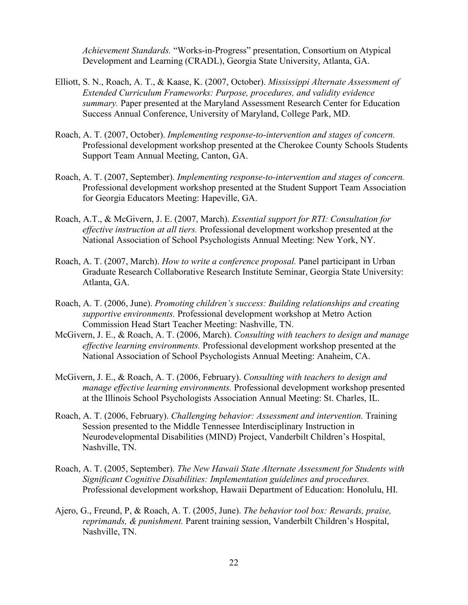*Achievement Standards.* "Works-in-Progress" presentation, Consortium on Atypical Development and Learning (CRADL), Georgia State University, Atlanta, GA.

- Elliott, S. N., Roach, A. T., & Kaase, K. (2007, October). *Mississippi Alternate Assessment of Extended Curriculum Frameworks: Purpose, procedures, and validity evidence summary.* Paper presented at the Maryland Assessment Research Center for Education Success Annual Conference, University of Maryland, College Park, MD.
- Roach, A. T. (2007, October). *Implementing response-to-intervention and stages of concern.* Professional development workshop presented at the Cherokee County Schools Students Support Team Annual Meeting, Canton, GA.
- Roach, A. T. (2007, September). *Implementing response-to-intervention and stages of concern.* Professional development workshop presented at the Student Support Team Association for Georgia Educators Meeting: Hapeville, GA.
- Roach, A.T., & McGivern, J. E. (2007, March). *Essential support for RTI: Consultation for effective instruction at all tiers.* Professional development workshop presented at the National Association of School Psychologists Annual Meeting: New York, NY.
- Roach, A. T. (2007, March). *How to write a conference proposal.* Panel participant in Urban Graduate Research Collaborative Research Institute Seminar, Georgia State University: Atlanta, GA.
- Roach, A. T. (2006, June). *Promoting children's success: Building relationships and creating supportive environments.* Professional development workshop at Metro Action Commission Head Start Teacher Meeting: Nashville, TN.
- McGivern, J. E., & Roach, A. T. (2006, March). *Consulting with teachers to design and manage effective learning environments.* Professional development workshop presented at the National Association of School Psychologists Annual Meeting: Anaheim, CA.
- McGivern, J. E., & Roach, A. T. (2006, February). *Consulting with teachers to design and manage effective learning environments.* Professional development workshop presented at the Illinois School Psychologists Association Annual Meeting: St. Charles, IL.
- Roach, A. T. (2006, February). *Challenging behavior: Assessment and intervention.* Training Session presented to the Middle Tennessee Interdisciplinary Instruction in Neurodevelopmental Disabilities (MIND) Project, Vanderbilt Children's Hospital, Nashville, TN.
- Roach, A. T. (2005, September). *The New Hawaii State Alternate Assessment for Students with Significant Cognitive Disabilities: Implementation guidelines and procedures.*  Professional development workshop, Hawaii Department of Education: Honolulu, HI.
- Ajero, G., Freund, P, & Roach, A. T. (2005, June). *The behavior tool box: Rewards, praise, reprimands, & punishment.* Parent training session, Vanderbilt Children's Hospital, Nashville, TN.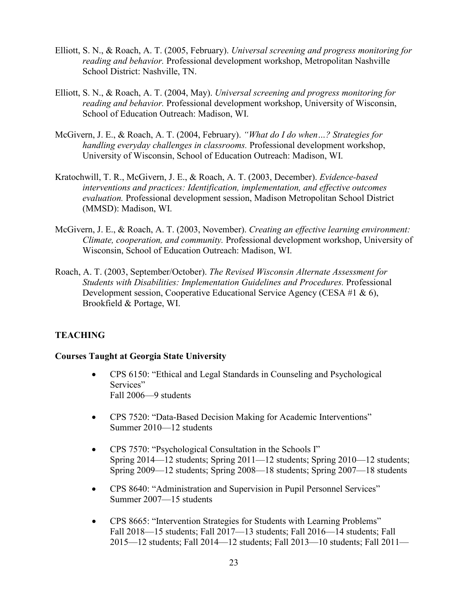- Elliott, S. N., & Roach, A. T. (2005, February). *Universal screening and progress monitoring for reading and behavior.* Professional development workshop, Metropolitan Nashville School District: Nashville, TN.
- Elliott, S. N., & Roach, A. T. (2004, May). *Universal screening and progress monitoring for reading and behavior.* Professional development workshop, University of Wisconsin, School of Education Outreach: Madison, WI.
- McGivern, J. E., & Roach, A. T. (2004, February). *"What do I do when…? Strategies for handling everyday challenges in classrooms.* Professional development workshop, University of Wisconsin, School of Education Outreach: Madison, WI.
- Kratochwill, T. R., McGivern, J. E., & Roach, A. T. (2003, December). *Evidence-based interventions and practices: Identification, implementation, and effective outcomes evaluation.* Professional development session, Madison Metropolitan School District (MMSD): Madison, WI.
- McGivern, J. E., & Roach, A. T. (2003, November). *Creating an effective learning environment: Climate, cooperation, and community.* Professional development workshop, University of Wisconsin, School of Education Outreach: Madison, WI.
- Roach, A. T. (2003, September/October). *The Revised Wisconsin Alternate Assessment for Students with Disabilities: Implementation Guidelines and Procedures.* Professional Development session, Cooperative Educational Service Agency (CESA #1 & 6), Brookfield & Portage, WI.

# **TEACHING**

### **Courses Taught at Georgia State University**

- CPS 6150: "Ethical and Legal Standards in Counseling and Psychological Services" Fall 2006—9 students
- CPS 7520: "Data-Based Decision Making for Academic Interventions" Summer 2010—12 students
- CPS 7570: "Psychological Consultation in the Schools I" Spring 2014—12 students; Spring 2011—12 students; Spring 2010—12 students; Spring 2009—12 students; Spring 2008—18 students; Spring 2007—18 students
- CPS 8640: "Administration and Supervision in Pupil Personnel Services" Summer 2007—15 students
- CPS 8665: "Intervention Strategies for Students with Learning Problems" Fall 2018—15 students; Fall 2017—13 students; Fall 2016—14 students; Fall 2015—12 students; Fall 2014—12 students; Fall 2013—10 students; Fall 2011—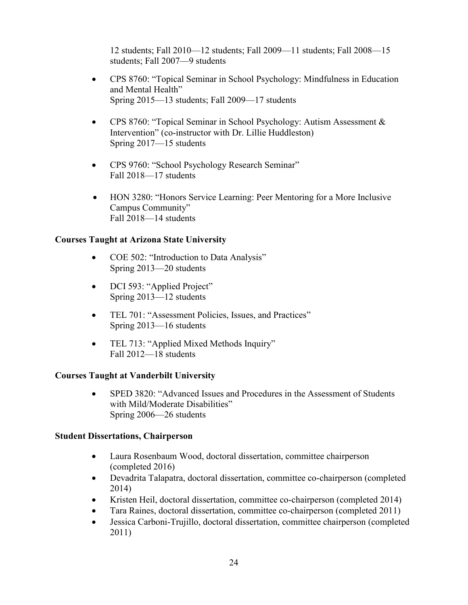12 students; Fall 2010—12 students; Fall 2009—11 students; Fall 2008—15 students; Fall 2007—9 students

- CPS 8760: "Topical Seminar in School Psychology: Mindfulness in Education and Mental Health" Spring 2015—13 students; Fall 2009—17 students
- CPS 8760: "Topical Seminar in School Psychology: Autism Assessment & Intervention" (co-instructor with Dr. Lillie Huddleston) Spring 2017—15 students
- CPS 9760: "School Psychology Research Seminar" Fall 2018—17 students
- HON 3280: "Honors Service Learning: Peer Mentoring for a More Inclusive Campus Community" Fall 2018—14 students

# **Courses Taught at Arizona State University**

- COE 502: "Introduction to Data Analysis" Spring 2013—20 students
- DCI 593: "Applied Project" Spring 2013—12 students
- TEL 701: "Assessment Policies, Issues, and Practices" Spring 2013—16 students
- TEL 713: "Applied Mixed Methods Inquiry" Fall 2012—18 students

# **Courses Taught at Vanderbilt University**

• SPED 3820: "Advanced Issues and Procedures in the Assessment of Students with Mild/Moderate Disabilities" Spring 2006—26 students

# **Student Dissertations, Chairperson**

- Laura Rosenbaum Wood, doctoral dissertation, committee chairperson (completed 2016)
- Devadrita Talapatra, doctoral dissertation, committee co-chairperson (completed 2014)
- Kristen Heil, doctoral dissertation, committee co-chairperson (completed 2014)
- Tara Raines, doctoral dissertation, committee co-chairperson (completed 2011)
- Jessica Carboni-Trujillo, doctoral dissertation, committee chairperson (completed 2011)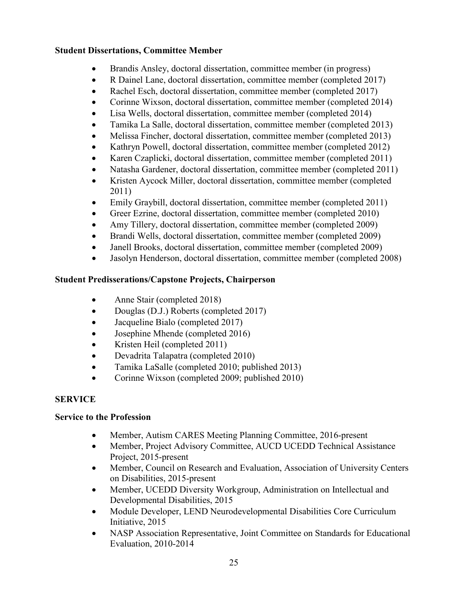# **Student Dissertations, Committee Member**

- Brandis Ansley, doctoral dissertation, committee member (in progress)
- R Dainel Lane, doctoral dissertation, committee member (completed 2017)
- Rachel Esch, doctoral dissertation, committee member (completed 2017)
- Corinne Wixson, doctoral dissertation, committee member (completed 2014)
- Lisa Wells, doctoral dissertation, committee member (completed 2014)
- Tamika La Salle, doctoral dissertation, committee member (completed 2013)
- Melissa Fincher, doctoral dissertation, committee member (completed 2013)
- Kathryn Powell, doctoral dissertation, committee member (completed 2012)
- Karen Czaplicki, doctoral dissertation, committee member (completed 2011)
- Natasha Gardener, doctoral dissertation, committee member (completed 2011)
- Kristen Aycock Miller, doctoral dissertation, committee member (completed 2011)
- Emily Graybill, doctoral dissertation, committee member (completed 2011)
- Greer Ezrine, doctoral dissertation, committee member (completed 2010)
- Amy Tillery, doctoral dissertation, committee member (completed 2009)
- Brandi Wells, doctoral dissertation, committee member (completed 2009)
- Janell Brooks, doctoral dissertation, committee member (completed 2009)
- Jasolyn Henderson, doctoral dissertation, committee member (completed 2008)

# **Student Predisserations/Capstone Projects, Chairperson**

- Anne Stair (completed 2018)
- Douglas (D.J.) Roberts (completed 2017)
- Jacqueline Bialo (completed 2017)
- Josephine Mhende (completed 2016)
- Kristen Heil (completed 2011)
- Devadrita Talapatra (completed 2010)
- Tamika LaSalle (completed 2010; published 2013)
- Corinne Wixson (completed 2009; published 2010)

# **SERVICE**

# **Service to the Profession**

- Member, Autism CARES Meeting Planning Committee, 2016-present
- Member, Project Advisory Committee, AUCD UCEDD Technical Assistance Project, 2015-present
- Member, Council on Research and Evaluation, Association of University Centers on Disabilities, 2015-present
- Member, UCEDD Diversity Workgroup, Administration on Intellectual and Developmental Disabilities, 2015
- Module Developer, LEND Neurodevelopmental Disabilities Core Curriculum Initiative, 2015
- NASP Association Representative, Joint Committee on Standards for Educational Evaluation, 2010-2014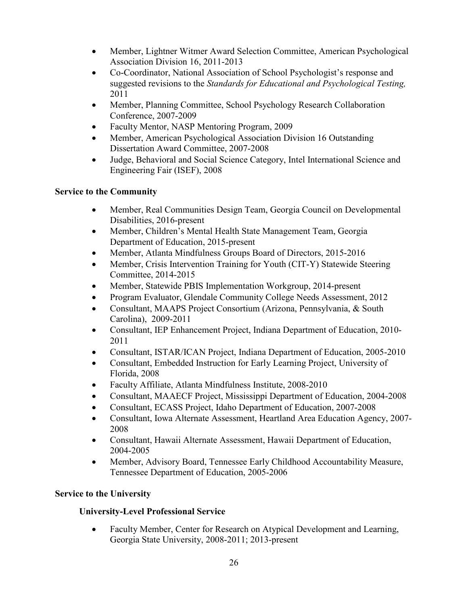- Member, Lightner Witmer Award Selection Committee, American Psychological Association Division 16, 2011-2013
- Co-Coordinator, National Association of School Psychologist's response and suggested revisions to the *Standards for Educational and Psychological Testing,*  2011
- Member, Planning Committee, School Psychology Research Collaboration Conference, 2007-2009
- Faculty Mentor, NASP Mentoring Program, 2009
- Member, American Psychological Association Division 16 Outstanding Dissertation Award Committee, 2007-2008
- Judge, Behavioral and Social Science Category, Intel International Science and Engineering Fair (ISEF), 2008

# **Service to the Community**

- Member, Real Communities Design Team, Georgia Council on Developmental Disabilities, 2016-present
- Member, Children's Mental Health State Management Team, Georgia Department of Education, 2015-present
- Member, Atlanta Mindfulness Groups Board of Directors, 2015-2016
- Member, Crisis Intervention Training for Youth (CIT-Y) Statewide Steering Committee, 2014-2015
- Member, Statewide PBIS Implementation Workgroup, 2014-present
- Program Evaluator, Glendale Community College Needs Assessment, 2012
- Consultant, MAAPS Project Consortium (Arizona, Pennsylvania, & South Carolina), 2009-2011
- Consultant, IEP Enhancement Project, Indiana Department of Education, 2010- 2011
- Consultant, ISTAR/ICAN Project, Indiana Department of Education, 2005-2010
- Consultant, Embedded Instruction for Early Learning Project, University of Florida, 2008
- Faculty Affiliate, Atlanta Mindfulness Institute, 2008-2010
- Consultant, MAAECF Project, Mississippi Department of Education, 2004-2008
- Consultant, ECASS Project, Idaho Department of Education, 2007-2008
- Consultant, Iowa Alternate Assessment, Heartland Area Education Agency, 2007-2008
- Consultant, Hawaii Alternate Assessment, Hawaii Department of Education, 2004-2005
- Member, Advisory Board, Tennessee Early Childhood Accountability Measure, Tennessee Department of Education, 2005-2006

# **Service to the University**

# **University-Level Professional Service**

• Faculty Member, Center for Research on Atypical Development and Learning, Georgia State University, 2008-2011; 2013-present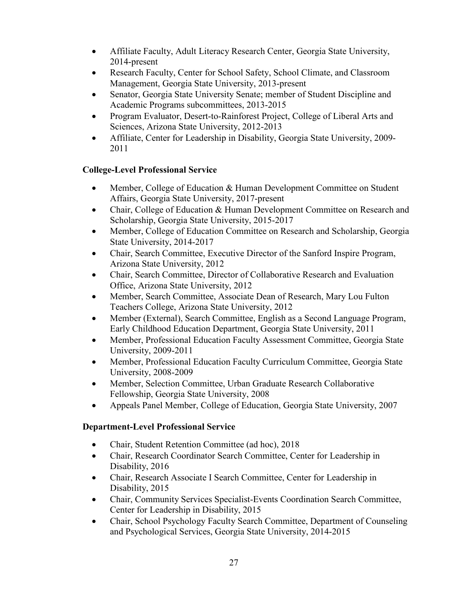- Affiliate Faculty, Adult Literacy Research Center, Georgia State University, 2014-present
- Research Faculty, Center for School Safety, School Climate, and Classroom Management, Georgia State University, 2013-present
- Senator, Georgia State University Senate; member of Student Discipline and Academic Programs subcommittees, 2013-2015
- Program Evaluator, Desert-to-Rainforest Project, College of Liberal Arts and Sciences, Arizona State University, 2012-2013
- Affiliate, Center for Leadership in Disability, Georgia State University, 2009- 2011

# **College-Level Professional Service**

- Member, College of Education & Human Development Committee on Student Affairs, Georgia State University, 2017-present
- Chair, College of Education & Human Development Committee on Research and Scholarship, Georgia State University, 2015-2017
- Member, College of Education Committee on Research and Scholarship, Georgia State University, 2014-2017
- Chair, Search Committee, Executive Director of the Sanford Inspire Program, Arizona State University, 2012
- Chair, Search Committee, Director of Collaborative Research and Evaluation Office, Arizona State University, 2012
- Member, Search Committee, Associate Dean of Research, Mary Lou Fulton Teachers College, Arizona State University, 2012
- Member (External), Search Committee, English as a Second Language Program, Early Childhood Education Department, Georgia State University, 2011
- Member, Professional Education Faculty Assessment Committee, Georgia State University, 2009-2011
- Member, Professional Education Faculty Curriculum Committee, Georgia State University, 2008-2009
- Member, Selection Committee, Urban Graduate Research Collaborative Fellowship, Georgia State University, 2008
- Appeals Panel Member, College of Education, Georgia State University, 2007

# **Department-Level Professional Service**

- Chair, Student Retention Committee (ad hoc), 2018
- Chair, Research Coordinator Search Committee, Center for Leadership in Disability, 2016
- Chair, Research Associate I Search Committee, Center for Leadership in Disability, 2015
- Chair, Community Services Specialist-Events Coordination Search Committee, Center for Leadership in Disability, 2015
- Chair, School Psychology Faculty Search Committee, Department of Counseling and Psychological Services, Georgia State University, 2014-2015